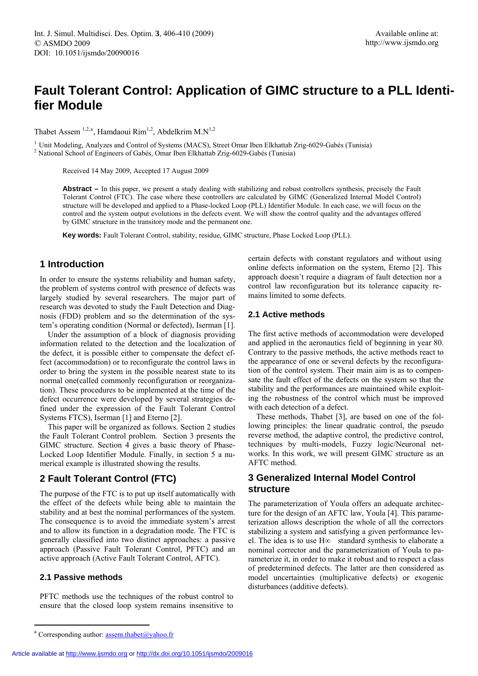# **Fault Tolerant Control: Application of GIMC structure to a PLL Identifier Module**

Thabet Assem<sup>1,2,a</sup>, Hamdaoui Rim<sup>1,2</sup>, Abdelkrim M.N<sup>1,2</sup>

<sup>1</sup> Unit Modeling, Analyzes and Control of Systems (MACS), Street Omar Iben Elkhattab Zrig-6029-Gabés (Tunisia) <sup>2</sup> National School of Engineers of Gabés, Omar Iben Elkhattab Zrig-6029-Gabés (Tunisia)

Received 14 May 2009, Accepted 17 August 2009

Abstract – In this paper, we present a study dealing with stabilizing and robust controllers synthesis, precisely the Fault Tolerant Control (FTC). The case where these controllers are calculated by GIMC (Generalized Internal Model Control) structure will be developed and applied to a Phase-locked Loop (PLL) Identifier Module. In each case, we will focus on the control and the system output evolutions in the defects event. We will show the control quality and the advantages offered by GIMC structure in the transitory mode and the permanent one.

**Key words:** Fault Tolerant Control, stability, residue, GIMC structure, Phase Locked Loop (PLL).

# **1 Introduction**

In order to ensure the systems reliability and human safety, the problem of systems control with presence of defects was largely studied by several researchers. The major part of research was devoted to study the Fault Detection and Diagnosis (FDD) problem and so the determination of the system's operating condition (Normal or defected), Iserman [1].

Under the assumption of a block of diagnosis providing information related to the detection and the localization of the defect, it is possible either to compensate the defect effect (accommodation) or to reconfigurate the control laws in order to bring the system in the possible nearest state to its normal one(called commonly reconfiguration or reorganization). These procedures to be implemented at the time of the defect occurrence were developed by several strategies defined under the expression of the Fault Tolerant Control Systems FTCS), Iserman [1] and Eterno [2].

This paper will be organized as follows. Section 2 studies the Fault Tolerant Control problem. Section 3 presents the GIMC structure. Section 4 gives a basic theory of Phase-Locked Loop Identifier Module. Finally, in section 5 a numerical example is illustrated showing the results.

# **2 Fault Tolerant Control (FTC)**

The purpose of the FTC is to put up itself automatically with the effect of the defects while being able to maintain the stability and at best the nominal performances of the system. The consequence is to avoid the immediate system's arrest and to allow its function in a degradation mode. The FTC is generally classified into two distinct approaches: a passive approach (Passive Fault Tolerant Control, PFTC) and an active approach (Active Fault Tolerant Control, AFTC).

### **2.1 Passive methods**

 $\overline{a}$ 

 $\overline{a}$ 

PFTC methods use the techniques of the robust control to ensure that the closed loop system remains insensitive to

approach doesn't require a diagram of fault detection nor a control law reconfiguration but its tolerance capacity recertain defects with constant regulators and without using online defects information on the system, Eterno [2]. This mains limited to some defects.

## **2.1 Active methods**

stability and the performances are maintained while exploitin g the robustness of the control which must be improved The first active methods of accommodation were developed and applied in the aeronautics field of beginning in year 80. Contrary to the passive methods, the active methods react to the appearance of one or several defects by the reconfiguration of the control system. Their main aim is as to compensate the fault effect of the defects on the system so that the with each detection of a defect.

techniques by multi-models, Fuzzy logic/Neuronal networks. In this work, we will present GIMC structure as an These methods, Thabet [3], are based on one of the following principles: the linear quadratic control, the pseudo reverse method, the adaptive control, the predictive control, AFTC method.

# **3 Generalized Internal Model Control structure**

of predetermined defects. The latter are then considered as model uncertainties (multiplicative defects) or exogenic The parameterization of Youla offers an adequate architecture for the design of an AFTC law, Youla [4]. This parameterization allows description the whole of all the correctors stabilizing a system and satisfying a given performance level. The idea is to use H∞ standard synthesis to elaborate a nominal corrector and the parameterization of Youla to parameterize it, in order to make it robust and to respect a class disturbances (additive defects).

Article available at<http://www.ijsmdo.org>or<http://dx.doi.org/10.1051/ijsmdo/2009016>

<sup>&</sup>lt;sup>a</sup> Corresponding author: **assem.thabet@yahoo.fr**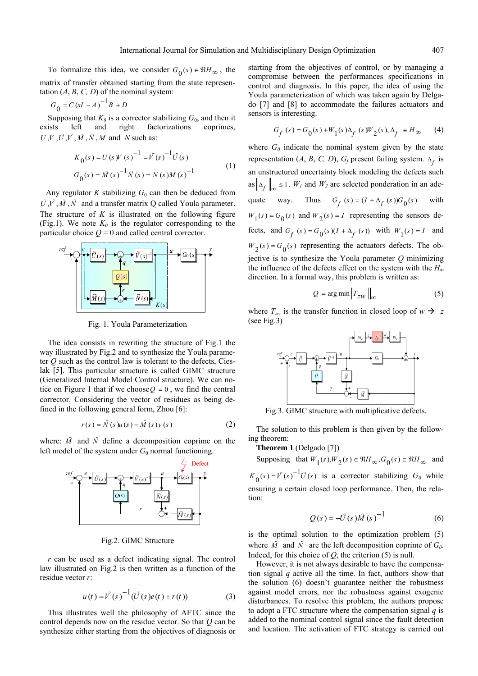To formalize this idea, we consider  $G_0(s) \in \Re H_{\infty}$ , the matrix of transfer obtained starting from the state representation  $(A, B, C, D)$  of the nominal system:

$$
G_0 = C\left(sI - A\right)^{-1}B + D
$$

Supposing that  $K_0$  is a corrector stabilizing  $G_0$ , and then it exists left and right factorizations coprimes, *UV .UV*  $\tilde{U}$  *M*  $\tilde{M}$  $\tilde{M}$  *M and N such as:* 

$$
K_0(s) = U(s)V(s)^{-1} = V(s)^{-1}\tilde{U}(s)
$$
  
\n
$$
G_0(s) = \tilde{M}(s)^{-1}\tilde{N}(s) = N(s)M(s)^{-1}
$$
\n(1)

Any regulator *K* stabilizing  $G_0$  can then be deduced from  $\tilde{U}, \tilde{V}, \tilde{M}, \tilde{N}$  and a transfer matrix Q called Youla parameter. The structure of  $K$  is illustrated on the following figure (Fig.1). We note  $K_0$  is the regulator corresponding to the particular choice  $Q = 0$  and called central corrector.



Fig. 1. Youla Parameterization

The idea consists in rewriting the structure of Fig.1 the way illustrated by Fig.2 and to synthesize the Youla parameter *Q* such as the control law is tolerant to the defects, Cieslak [5]. Th is particular structure is calle d GIMC structure (Gen eralized Internal Model Control structure). We can nocorrector. Considering the vector of residues as being defined i n the following general form, Zhou [6]: tice on Figure 1 that if we choose  $Q = 0$ , we find the central

$$
r(s) = \tilde{N}(s)u(s) - \tilde{M}(s)y(s)
$$
 (2)

where:  $\tilde{M}$  and  $\tilde{N}$  define a decomposition coprime on the left model of the system under  $G_0$  normal functioning.



#### Fig.2. GIMC Structure

*r* can be used as a defect indicating signal. The control law illustrated on Fig.2 is then written as a function of the residue vector *r*:

$$
u(t) = \tilde{V}(s)^{-1} (\tilde{U}(s)e(t) + r(t))
$$
 (3)

This illustrates well the philosophy of AFTC since the control depends now on the residue vector. So that *Q* can be synthesize either starting from the objectives of diagnosis or starting from the objectives of control, or by managing a compromise between the performances specifications in control and diagnosis. In this paper, the idea of using the Youla parameterization of which was taken again by Delga- $\alpha$  [7] and [8] to accommodate the failures actuators and sensors is interesting.

$$
G_f(s) = G_0(s) + W_1(s)\Delta_f(s)W_2(s), \Delta_f \in H_\infty \qquad (4)
$$

where  $G_0$  indicate the nominal system given by the state representation (*A*, *B*, *C*, *D*),  $G_f$  present failing system.  $\Delta_f$  is an unstructured uncertainty block modeling the defects such as  $\left\| \Delta_f \right\|_{\infty} \leq 1$ . *W<sub>1</sub>* and *W<sub>2</sub>* are selected ponderation in an adequate way. Thus  $G_f(s) = (I + \Delta_f(s))G_0(s)$  with  $W_1(s) = G_0(s)$  and  $W_2(s) = I$  representing the sensors defects, and  $G_f$  (s) =  $G_0$  (s)( $I + \Delta_f$  (s)) with  $W_1$ (s) =  $I$  and  $W_2(s) = G_0(s)$  representing the actuators defects. The objective is to synthesize the Youla parameter  $Q$  minimizing the influence of the defects effect on the system with the  $H_\alpha$ direction . In a formal way, this problem is written as:

$$
Q = \arg\min \|T_{zw}\|_{\infty} \tag{5}
$$

where  $T_{zw}$  is the transfer function in closed loop of  $w \rightarrow z$  $(see Fig.3)$ 



Fig.3. GIMC structure with multiplicative defects.

The solution to this problem is then given by the following theorem:

**Theorem 1** (Delg ado [7])

Defect Supposing that  $W_1(s)$ ,  $W_2(s) \in \Re H_\infty$ ,  $G_0(s) \in \Re H_\infty$  and

 $K_0(s) = V(s)^{-1} \tilde{U}(s)$  is a corrector stabilizing  $G_0$  while ensuring a certain closed loop performance. Then, the relation:

$$
Q(s) = -\tilde{U}(s)\tilde{M}(s)^{-1}
$$
 (6)

is the optimal solution to the optimization problem (5) where  $\tilde{M}$  and  $\tilde{N}$  are the left decomposition coprime of  $G_0$ . Indeed, for this choice of *Q*, the criterion (5) is null.

However, it is not always desirable to have the compensation signal *q* active all the time. In fact, authors show that the solution (6) doesn't guarantee neither the robustness against model errors, nor the robustness against exogenic disturbances. To resolve this problem, the authors propose to adopt a FTC structure where the compensation signal *q* is added to the nominal control signal since the fault detection and location. The activation of FTC strategy is carried out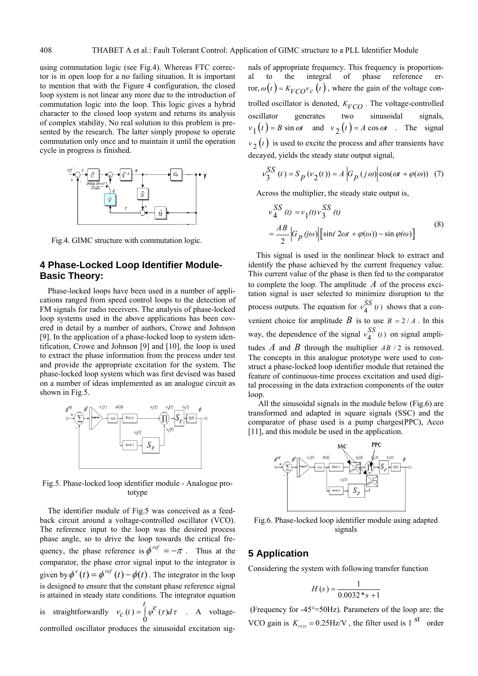to mention that with the Figure 4 configuration, the closed loop system is not linear any more due to the introduction of commutation logic into the loop. This logic gives a hybrid character to the closed loop system and returns its analysis of complex stability. No real solution to this problem is presented by the research. The latter simply propose to operate commutation only once and to maintain it until the operation using commutation logic (see Fig.4). Whereas FTC corrector is in open loop for a no failing situation. It is important cycle in progress is finished.



Fig.4. GIMC structure with commutation logic.

# **4 Phase-Locked Loop Identifier Module-Basic Theory:**

Phase-locked loops have been used in a number of applications ranged from speed control loops to the detection of FM signals for radio receivers. The analysis of phase-locked loop systems used in the above applications has been covered in detail by a number of authors, Crowe and Jo hnson [9]. In the application of a phase-locked loop to system identification, Crowe and Johnson  $[9]$  and  $[10]$ , the loop is used to extract the phase information from the process under te st and provide the appropriate excitation for the system. The phase-locked loop system which was first devised was based on a number of ideas implemented as an analogue circuit as shown in Fig.5.



Fig.5. Phase-locked loop identifier module - Analogue prototype

The identifier module of Fig.5 was conceived as a feedback circuit around a voltage-controlled oscillator (VCO). The reference input to the loop was the desired process phase angle, so to drive the loop towards the critical frequency, the phase reference is  $\phi^{ref} = -\pi$ . Thus at the comparator, the phase error signal input to the integrator is given by  $\phi^e(t) = \phi^{ref}(t) - \phi(t)$ . The integrator in the loop is designed to ensure that the constant phase reference signal is attained in steady state conditions. The integrator equation is straightforwardly  $v_c(t) = \int \varphi^{\epsilon}(\tau)$  $\gamma_c(t) = \int_0^t \varphi^e(\tau) d\tau$  $v_c(t) = \int \varphi^e(\tau) d\tau$  . A voltagecontrolled oscillator produces the sinusoidal excitation sig-

nals of appropriate frequency. This frequency is proportional to the integral of phase reference error,  $\omega(t) = K_{VCO} v_c(t)$ , where the gain of the voltage controlled oscillator is denoted,  $K_{VCO}$ . The voltage-controlled signals, oscillator generates two sinusoidal  $v_1(t) = B \sin \omega t$  and  $v_2(t) = A \cos \omega t$ . The signal  $v_2(t)$  is used to excite the process and after transients have decayed, yields the steady state output signal,

$$
v_3^{SS}(t) = S_p(v_2(t)) = A \left| G_p(j\omega) \right| \cos(\omega t + \varphi(\omega)) \tag{7}
$$

Across the multiplier, the steady state output is,

$$
v_4^{SS} (t) = v_1(t) v_3^{SS} (t)
$$
  
= 
$$
\frac{AB}{2} \Big| G_p (j\omega) \Big| \Big[ \sin(2\omega t + \varphi(\omega)) - \sin \varphi(\omega) \Big]
$$
 (8)

This signal is used in the nonlinear block to extract and identify the phase achieved by the current frequency value. This current value of the phase is then fed to the comparator to complete the loop. The amplitude *A* of the process excitation signal is user selected to minimize disruption to the process outputs. The equation for  $v_4^{SS}(t)$  shows that a convenient choice for amplitude *B* is to use  $B = 2/A$ . In this way, the dependence of the signal  $v_4^{SS}$  (*t*) on signal amplitudes *A* and *B* through the multiplier *AB* / 2 is removed. The concepts in this analogue prototype were used to construct a phase-locked loop identifier module that retained the feature of continuous-time process excitation and used digital processing in the data extraction components of the outer loop.

All the sinusoidal signals in the module below (Fig.6) are transformed and adapted in square signals (SSC) and the comparator of phase used is a pump charges(PPC), Acco [11], an d this module be used in the application.



Fig.6. Phase-locked loop identifier module using adapted signals

## **5 Applicat ion**

Considering the system with following transfer function

$$
H(s) = \frac{1}{0.0032 \cdot s + 1}
$$

 (Frequency for -45°=50Hz). Parameters of the loop are: the VCO gain is  $K_{VCO} = 0.25 \text{Hz/V}$ , the filter used is 1<sup>st</sup> order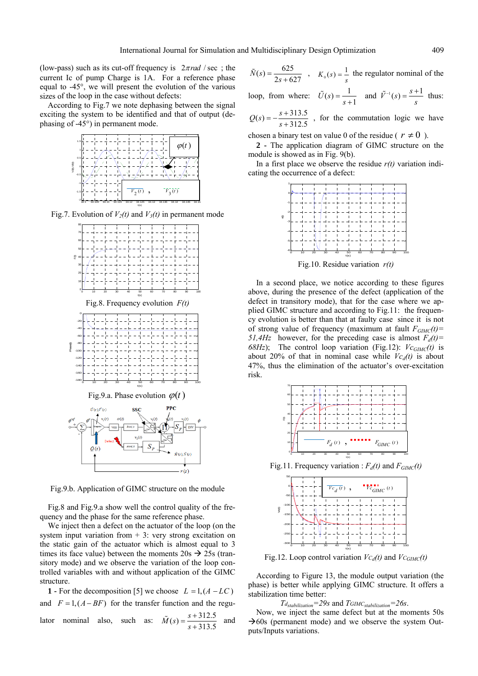(low-pass) such as its cut-off frequency is  $2\pi rad$  / sec; the current Ic of pump Charge is 1A. For a reference phase equal to  $-45^\circ$ , we will present the evolution of the various sizes o f the loop in the case without defects:

According to Fig.7 we note dephasing between the signal exciting the system to be identified and that of output (dephasin g of -45°) in permanent mode.



Fig.7. Evolution of  $V_2(t)$  and  $V_3(t)$  in permanent mode



Fig.9.b. Application of GIMC structure on the module

Fig.8 and Fig.9.a show well the control quality of the frequency and the phase for the same reference phase.

We inject then a defect on the actuator of the loop (on the system input variation from  $+3$ : very strong excitation on the static gain of the actuator which is almost equal to 3 times its face value) between the moments  $20s \rightarrow 25s$  (transitory mode) and we observe the variation of the loop controlled variables with and without application of the GIMC structure.

**1** - For the decomposition [5] we choose  $L = 1$ ,  $(A - LC)$ and  $F = 1$ ,  $(A - BF)$  for the transfer function and the regulator nominal also, such as:  $\tilde{M}(s) = \frac{s + 312.5}{s + 313.5}$  and

$$
\tilde{N}(s) = \frac{625}{2s + 627}
$$
,  $K_0(s) = \frac{1}{s}$  the regulator nominal of the

loop, from where:  $\tilde{U}(s) = \frac{1}{s+1}$  and  $\tilde{V}^{-1}(s) = \frac{s+1}{s}$  thus: *s*

 $Q(s) = -\frac{s+313.5}{s+312.5}$ , for the commutation logic we have

chosen a binary test on value 0 of the residue ( $r \neq 0$ ).

**2 -** The application diagram of GIMC structure on the module is showed as in Fig. 9(b).

In a first place we observe the residue  $r(t)$  variation indicating the occurrence of a defect:



Fig.10. Residue variation *r(t)* 

In a second place, we notice according to these figures above, during the presence of the defect (application of the defect in transitory mode), that for the case where we applied GIMC structure and according to Fig.11: the frequency evolution is better than that at faulty case since it is not of strong value of frequency (maximum at fault  $F_{GIMC}(t)$ = 51,4Hz however, for the preceding case is almost  $F_d(t)$ = 68Hz); The control loop variation (Fig.12):  $Vc_{GIMC}(t)$  is about 20% of that in nominal case while  $V c_d(t)$  is about 47%, thus the elimination of the actuator's over-excitation risk.



Fig.11. Frequency variation :  $F_d(t)$  and  $F_{GIMC}(t)$ 



According to Figure 13, the module output variation (the phase) is better while applying GIMC structure. It offers a stabilization time better:

*Tdstabilization=29s* and *TGIMCstabilization=26s*.

Now, we inject the same defect but at the moments 50s  $\rightarrow$  60s (permanent mode) and we observe the system Outputs/Inputs variations.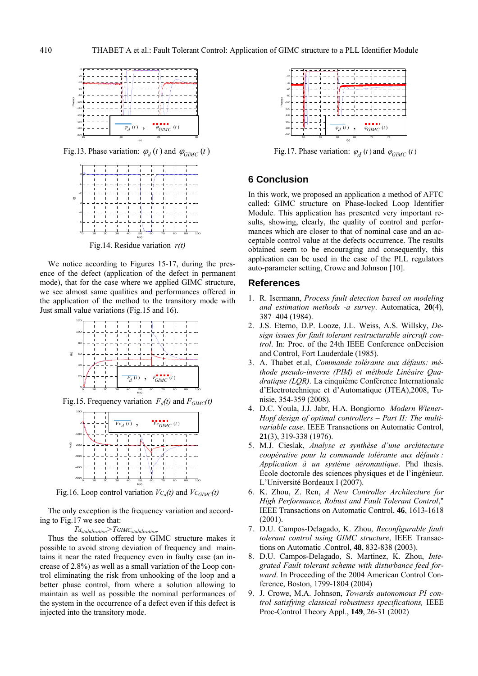

Fig.13. Phase variation:  $\varphi_d(t)$  and  $\varphi_{GIMC}(t)$ 



Fig.14. Residue variation *r(t)* 

We notice according to Figures 15-17, during the presence of the defect (application of the defect in permanent mode), that for the case where we applied GIMC structure, we see almost same qualities and performances offered in the application of the method to the transitory mode  $\begin{bmatrix} 1 & 0 & 0 \\ 0 & 1 & 0 & 0 \\ 0 & 0 & 0 & 0 \\ 0 & 0 & 0 & 0 \\ 0 & 0 & 0 & 0 \\ 0 & 0 & 0 & 0 \\ 0 & 0 & 0 & 0 \\ 0 & 0 & 0 & 0 \\ 0 & 0 & 0 & 0 \\ 0 & 0 & 0 & 0 \\ 0 & 0 & 0 & 0 \\ 0 & 0 & 0 & 0 \\ 0 & 0 & 0 & 0 \\ 0 & 0 & 0 & 0 \\ 0 & 0 & 0 & 0 \\ 0 & 0 & 0 & 0 \\ 0 & 0 & 0 & 0 \\ 0 & 0 & 0 & 0 \\$ 



Fig.15. Frequency variation  $F_d(t)$  and  $F_{GIMC}(t)$ 



Fig.16. Loop control variation  $V_{C_d}(t)$  and  $V_{C_{GIMC}}(t)$ 

The only exception is the frequency variation and according to Fig.17 we see that:

 $T_{d_{stabilization}}$  $T_{GIMC_{stabilization}}$ .

Thus the solution offered by GIMC structure makes it possible to avoid strong deviation of frequency and maintains it near the rated frequency even in faulty case (an increase of 2.8%) as well as a small variation of the Loop control eliminating the risk from unhooking of the loop and a better phase control, from where a solution allowing to maintain as well as possible the nominal performances of the system in the occurrence of a defect even if this defect is inj ected into the transitory mode.



Fig.17. Phase variation:  $\varphi_d(t)$  and  $\varphi_{GIMC}(t)$ 

## **6 Conclusion**

In this work, we proposed an application a method of AFTC called: GIMC struct ure on Phase-locked Loop Identifier ceptable control value at the defects occurrence. The results Module. This application has presented very important results, showing, clearly, the quality of control and performances which are closer to that of nominal case and an acobtained seem to be encouraging and consequently, this application can be used in the case of the PLL regulators auto-parameter setting, Crowe and Johnson [10].

#### **References**

- 1. R. Isermann, *Process fault detection based on modeling and estimation methods -a survey*. Automatica, **20**(4), 387–404 (1984).
- , J.L. Weiss, A.S. Willsky, *De-*2. J.S. Eterno, D.P. Looze *sign issues for fault tolerant restructurable aircraft control*. In: Proc. of the 24th IEEE Conference onDecision and Control, Fort Lauderdale (1985).
- *éthode Linéaire Qua-thode pseudo-inverse (PIM) et m* 3. A. Thabet et.al, *Commande tolérante aux défauts: médratique (LQR)*. La cinquième Conférence Internationale d'Electrotechnique et d'Automatique (JTEA),2008, Tunisie, 354-359 (2008).
- 4. D.C. Youla, J.J. Jabr, H.A. Bongiorno Modern Wiener-*Hopf design of optimal controllers – Part II: The multivariable case*. IEEE Transactions on Automatic Control, **21**(3), 319-338 (1976).
- École doctorale des sciences physiques et de l'ingénieur. 5. M.J. Cieslak, *Analyse et synthèse d'une architecture coopérative pour la commande tolérante aux défauts : Application à un système aéronautique*. Phd thesis. L'Université Bordeaux I (2007).
- High Performance, Robust and Fault Tolerant Control," 6. K. Zhou, Z. Ren, *A New Controller Architecture for*  IEEE Transactions on Automatic Control, **46**, 1613-1618 (2001).
- *Reconfigurable fault*  7. D.U. Campos-Delagado, K. Zhou, *tolerant control using GIMC structure*, IEEE Transactions on Automatic .Control, **48**, 832-838 (2003).
- *disturbance feed for-grated Fault tolerant scheme with ward*. In Proceeding of the 2004 American Control Conference, Boston, 1799-1804 (2004) 8. D.U. Campos-Delagado, S. Martinez, K. Zhou, *Inte-*
- . J. Crowe, M.A. Johnson, *Towards autonomous PI con-*9 *trol satisfying classical robustness specifications,* IEEE Proc-Control Theory Appl., **149**, 26-31 (2002)